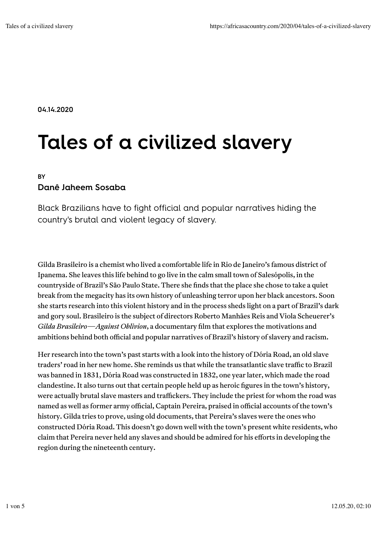04.14.2020

# Tales of a civilized slavery

#### **BY**

#### Danê Jaheem Sosaba

Black Brazilians have to fight official and popular narratives hiding the country's brutal and violent legacy of slavery.

Gilda Brasileiro is a chemist who lived a comfortable life in Rio de Janeiro's famous district of Ipanema. She leaves this life behind to go live in the calm small town of Salesópolis, in the countryside of Brazil's São Paulo State. There she finds that the place she chose to take a quiet break from the megacity has its own history of unleashing terror upon her black ancestors. Soon she starts research into this violent history and in the process sheds light on a part of Brazil's dark and gory soul. Brasileiro is the subject of directors Roberto Manhães Reis and Viola Scheuerer's *Gilda Brasileiro—Against Oblivion*, a documentary film that explores the motivations and ambitions behind both official and popular narratives of Brazil's history of slavery and racism.

Her research into the town's past starts with a look into the history of Dória Road, an old slave traders' road in her new home. She reminds us that while the transatlantic slave traffic to Brazil was banned in 1831, Dória Road was constructed in 1832, one year later, which made the road clandestine. It also turns out that certain people held up as heroic figures in the town's history, were actually brutal slave masters and traffickers. They include the priest for whom the road was named as well as former army official, Captain Pereira, praised in official accounts of the town's history. Gilda tries to prove, using old documents, that Pereira's slaves were the ones who constructed Dória Road. This doesn't go down well with the town's present white residents, who claim that Pereira never held any slaves and should be admired for his efforts in developing the region during the nineteenth century.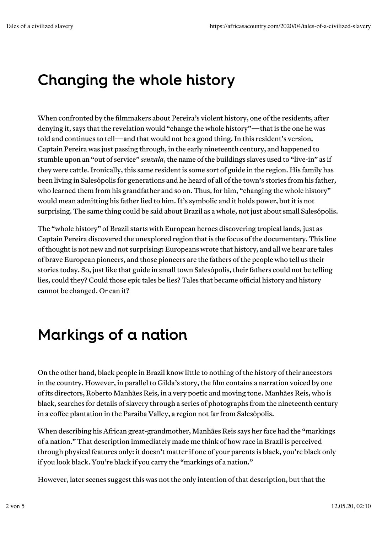## Changing the whole history

When confronted by the filmmakers about Pereira's violent history, one of the residents, after denying it, says that the revelation would "change the whole history"—that is the one he was told and continues to tell—and that would not be a good thing. In this resident's version, Captain Pereira was just passing through, in the early nineteenth century, and happened to stumble upon an "out of service" *senzala*, the name of the buildings slaves used to "live-in" as if they were cattle. Ironically, this same resident is some sort of guide in the region. His family has been living in Salesópolis for generations and he heard of all of the town's stories from his father, who learned them from his grandfather and so on. Thus, for him, "changing the whole history" would mean admitting his father lied to him. It's symbolic and it holds power, but it is not surprising. The same thing could be said about Brazil as a whole, not just about small Salesópolis.

The "whole history" of Brazil starts with European heroes discovering tropical lands, just as Captain Pereira discovered the unexplored region that is the focus of the documentary. This line of thought is not new and not surprising: Europeans wrote that history, and all we hear are tales of brave European pioneers, and those pioneers are the fathers of the people who tell us their stories today. So, just like that guide in small town Salesópolis, their fathers could not be telling lies, could they? Could those epic tales be lies? Tales that became official history and history cannot be changed. Or can it?

## Markings of a nation

On the other hand, black people in Brazil know little to nothing of the history of their ancestors in the country. However, in parallel to Gilda's story, the film contains a narration voiced by one of its directors, Roberto Manhães Reis, in a very poetic and moving tone. Manhães Reis, who is black, searches for details of slavery through a series of photographs from the nineteenth century in a coffee plantation in the Paraíba Valley, a region not far from Salesópolis.

When describing his African great-grandmother, Manhães Reis says her face had the "markings of a nation." That description immediately made me think of how race in Brazil is perceived through physical features only: it doesn't matter if one of your parents is black, you're black only if you look black. You're black if you carry the "markings of a nation."

However, later scenes suggest this was not the only intention of that description, but that the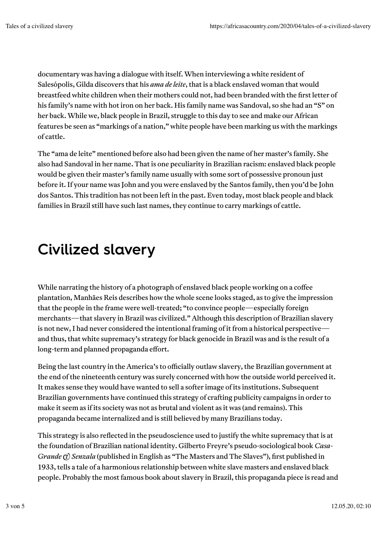documentary was having a dialogue with itself. When interviewing a white resident of Salesópolis, Gilda discovers that his *ama de leite*, that is a black enslaved woman that would breastfeed white children when their mothers could not, had been branded with the first letter of his family's name with hot iron on her back. His family name was Sandoval, so she had an "S" on her back. While we, black people in Brazil, struggle to this day to see and make our African features be seen as "markings of a nation," white people have been marking us with the markings of cattle.

The "ama de leite" mentioned before also had been given the name of her master's family. She also had Sandoval in her name. That is one peculiarity in Brazilian racism: enslaved black people would be given their master's family name usually with some sort of possessive pronoun just before it. If your name was John and you were enslaved by the Santos family, then you'd be John dos Santos. This tradition has not been left in the past. Even today, most black people and black families in Brazil still have such last names, they continue to carry markings of cattle.

#### Civilized slavery

While narrating the history of a photograph of enslaved black people working on a coffee plantation, Manhães Reis describes how the whole scene looks staged, as to give the impression that the people in the frame were well-treated; "to convince people—especially foreign merchants—that slavery in Brazil was civilized." Although this description of Brazilian slavery is not new, I had never considered the intentional framing of it from a historical perspective and thus, that white supremacy's strategy for black genocide in Brazil was and is the result of a long-term and planned propaganda effort.

Being the last country in the America's to officially outlaw slavery, the Brazilian government at the end of the nineteenth century was surely concerned with how the outside world perceived it. It makes sense they would have wanted to sell a softer image of its institutions. Subsequent Brazilian governments have continued this strategy of crafting publicity campaigns in order to make it seem as if its society was not as brutal and violent as it was (and remains). This propaganda became internalized and is still believed by many Brazilians today.

This strategy is also reflected in the pseudoscience used to justify the white supremacy that is at the foundation of Brazilian national identity. Gilberto Freyre's pseudo-sociological book *Casa-Grande (t) Senzala* (published in English as "The Masters and The Slaves"), first published in 1933, tells a tale of a harmonious relationship between white slave masters and enslaved black people. Probably the most famous book about slavery in Brazil, this propaganda piece is read and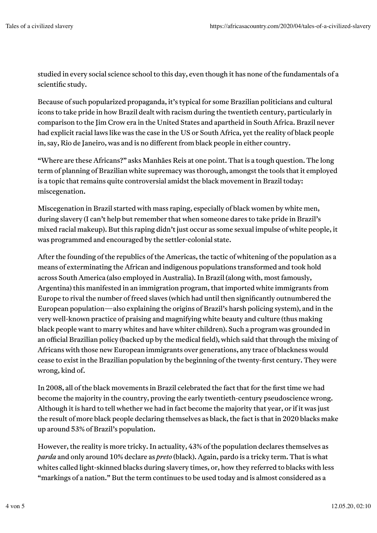studied in every social science school to this day, even though it has none of the fundamentals of a scientific study.

Because of such popularized propaganda, it's typical for some Brazilian politicians and cultural icons to take pride in how Brazil dealt with racism during the twentieth century, particularly in comparison to the Jim Crow era in the United States and apartheid in South Africa. Brazil never had explicit racial laws like was the case in the US or South Africa, yet the reality of black people in, say, Rio de Janeiro, was and is no different from black people in either country.

"Where are these Africans?" asks Manhães Reis at one point. That is a tough question. The long term of planning of Brazilian white supremacy was thorough, amongst the tools that it employed is a topic that remains quite controversial amidst the black movement in Brazil today: miscegenation.

Miscegenation in Brazil started with mass raping, especially of black women by white men, during slavery (I can't help but remember that when someone dares to take pride in Brazil's mixed racial makeup). But this raping didn't just occur as some sexual impulse of white people, it was programmed and encouraged by the settler-colonial state.

After the founding of the republics of the Americas, the tactic of whitening of the population as a means of exterminating the African and indigenous populations transformed and took hold across South America (also employed in Australia). In Brazil (along with, most famously, Argentina) this manifested in an immigration program, that imported white immigrants from Europe to rival the number of freed slaves (which had until then significantly outnumbered the European population—also explaining the origins of Brazil's harsh policing system), and in the very well-known practice of praising and magnifying white beauty and culture (thus making black people want to marry whites and have whiter children). Such a program was grounded in an official Brazilian policy (backed up by the medical field), which said that through the mixing of Africans with those new European immigrants over generations, any trace of blackness would cease to exist in the Brazilian population by the beginning of the twenty-first century. They were wrong, kind of.

In 2008, all of the black movements in Brazil celebrated the fact that for the first time we had become the majority in the country, proving the early twentieth-century pseudoscience wrong. Although it is hard to tell whether we had in fact become the majority that year, or if it was just the result of more black people declaring themselves as black, the fact is that in 2020 blacks make up around 53% of Brazil's population.

However, the reality is more tricky. In actuality, 43% of the population declares themselves as *parda* and only around 10% declare as *preto* (black). Again, pardo is a tricky term. That is what whites called light-skinned blacks during slavery times, or, how they referred to blacks with less "markings of a nation." But the term continues to be used today and is almost considered as a